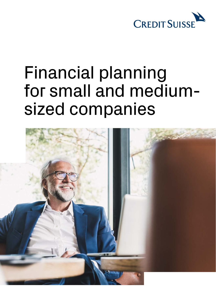

# Financial planning for small and mediumsized companies

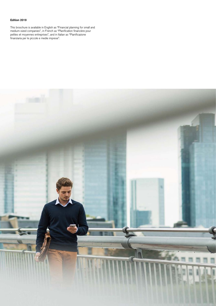### **Edition 2019**

This broschure is available in English as "Financial planning for small and medium-sized companies", in French as "Planification financière pour petites et moyennes entreprises", and in Italian as "Pianificazione finanziaria per le piccole e medie imprese".

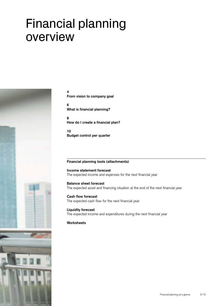# Financial planning overview



#### **[4](#page-3-0)**

**[From vision to company goal](#page-3-0)**

**[6](#page-5-0)  [What is financial planning?](#page-5-0)** 

**[8](#page-7-0)  [How do I create a financial plan?](#page-7-0)** 

**[10](#page-9-0)  [Budget control per quarter](#page-9-0)** 

#### **Financial planning tools (attachments)**

#### **Income statement forecast** The expected income and expenses for the next financial year

#### **Balance sheet forecast**

The expected asset and financing situation at the end of the next financial year

### **Cash flow forecast**

The expected cash flow for the next financial year

#### **Liquidity forecast**

The expected income and expenditures during the next financial year

### **Worksheets**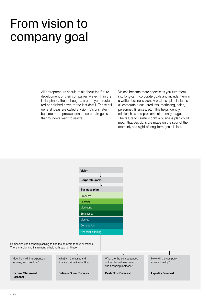# <span id="page-3-0"></span>From vision to company goal

All entrepreneurs should think about the future development of their companies – even if, in the initial phase, these thoughts are not yet structured or polished down to the last detail. These still general ideas are called a vision. Visions later become more precise ideas – corporate goals that founders want to realize.

Visions become more specific as you turn them into long-term corporate goals and include them in a written business plan. A business plan includes all corporate areas: products, marketing, sales, personnel, finances, etc. This helps identify relationships and problems at an early stage. The failure to carefully draft a business plan could mean that decisions are made on the spur of the moment, and sight of long-term goals is lost.

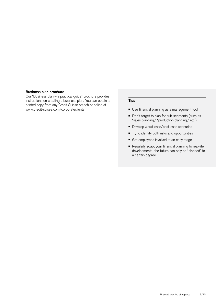#### **Business plan brochure**

Our "Business plan – a practical guide" brochure provides instructions on creating a business plan. You can obtain a printed copy from any Credit Suisse branch or online at [www.credit-suisse.com/corporateclients.](https://www.credit-suisse.com/ch/en/unternehmen/unternehmen-unternehmer/kmugrossunternehmen.html?WT.i_short-url=%2Fcorporateclients&WT.i_target-url=%2Fch%2Fen%2Funternehmen%2Funternehmen-unternehmer%2Fkmugrossunternehmen.html)

#### **Tips**

- Use financial planning as a management tool
- Don't forget to plan for sub-segments (such as "sales planning," "production planning," etc.)
- Develop worst-case/best-case scenarios
- Try to identify both risks and opportunities
- Get employees involved at an early stage
- Regularly adapt your financial planning to real-life developments: the future can only be "planned" to a certain degree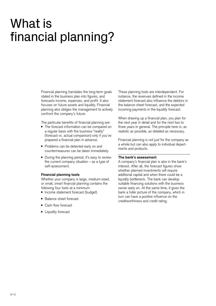# <span id="page-5-0"></span>What is financial planning?

Financial planning translates the long-term goals stated in the business plan into figures, and forecasts income, expenses, and profit. It also focuses on future assets and liquidity. Financial planning also obliges the management to actively confront the company's future.

The particular benefits of financial planning are:

- The forecast information can be compared on a regular basis with the business "reality" (forecast vs. actual comparison) only if you've prepared a financial plan in advance.
- Problems can be detected early on and countermeasures can be taken immediately.
- During the planning period, it's easy to review the current company situation – as a type of self-assessment.

#### **Financial planning tools**

Whether your company is large, medium-sized, or small, smart financial planning contains the following four tools at a minimum:

- Income statement forecast (budget)
- Balance sheet forecast
- Cash flow forecast
- Liquidity forecast

These planning tools are interdependent. For instance, the revenues defined in the income statement forecast also influence the debtors in the balance sheet forecast, and the expected incoming payments in the liquidity forecast.

When drawing up a financial plan, you plan for the next year in detail and for the next two to three years in general. The principle here is: as realistic as possible, as detailed as necessary.

Financial planning is not just for the company as a whole but can also apply to individual departments and products.

#### **The bank's assessment**

A company's financial plan is also in the bank's interest. After all, the forecast figures show whether planned investments will require additional capital and when there could be a liquidity bottleneck. The bank can develop suitable financing solutions with the business owner early on. At the same time, it gives the bank a fuller picture of the company, which in turn can have a positive influence on the creditworthiness and credit rating.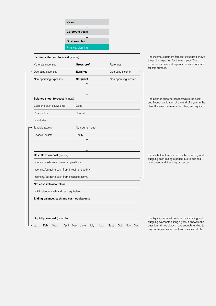| Vision               |  |  |  |  |  |  |
|----------------------|--|--|--|--|--|--|
|                      |  |  |  |  |  |  |
| Corporate goals      |  |  |  |  |  |  |
|                      |  |  |  |  |  |  |
| <b>Business plan</b> |  |  |  |  |  |  |
| Financial planning   |  |  |  |  |  |  |
|                      |  |  |  |  |  |  |

| Materials expenses                              | <b>Gross profit</b>        | Revenues<br>Operating income |  |  |  |  |  |  |
|-------------------------------------------------|----------------------------|------------------------------|--|--|--|--|--|--|
| Operating expenses                              | Earnings                   |                              |  |  |  |  |  |  |
| Non-operating expenses                          | Net profit                 | Non-operating income         |  |  |  |  |  |  |
|                                                 |                            |                              |  |  |  |  |  |  |
| Balance sheet forecast (annual)                 |                            |                              |  |  |  |  |  |  |
| Cash and cash equivalents                       | Debt                       |                              |  |  |  |  |  |  |
| Receivables                                     | Current                    |                              |  |  |  |  |  |  |
| Inventories                                     |                            |                              |  |  |  |  |  |  |
| Tangible assets                                 | Non-current debt<br>Equity |                              |  |  |  |  |  |  |
| Financial assets                                |                            |                              |  |  |  |  |  |  |
|                                                 |                            |                              |  |  |  |  |  |  |
| Cash flow forecast (annual)                     |                            |                              |  |  |  |  |  |  |
| Incoming cash from business operations          |                            |                              |  |  |  |  |  |  |
| Incoming/outgoing cash from investment activity |                            |                              |  |  |  |  |  |  |
| Incoming/outgoing cash from financing activity  |                            |                              |  |  |  |  |  |  |
| Net cash inflow/outflow                         |                            |                              |  |  |  |  |  |  |
| Initial balance, cash and cash equivalents      |                            |                              |  |  |  |  |  |  |
| Ending balance, cash and cash equivalents       |                            |                              |  |  |  |  |  |  |
|                                                 |                            |                              |  |  |  |  |  |  |

he income statement forecast ("budget") shows the profits expected for the next year. The expected income and expenditures are compared or this purpose.

he balance sheet forecast predicts the asset and financing situation at the end of a year in the an. It shows the assets, liabilities, and equity.

he cash flow forecast shows the incoming and utgoing cash during a period due to planned vestment and financing processes.

he liquidity forecast predicts the incoming and outgoing payments during a year. It answers the uestion: will we always have enough funding to pay our regular expenses (rent, salaries, etc.)?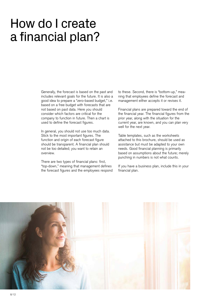# <span id="page-7-0"></span>How do I create a financial plan?

Generally, the forecast is based on the past and includes relevant goals for the future. It is also a good idea to prepare a "zero-based budget," i.e. based on a free budget with forecasts that are not based on past data. Here you should consider which factors are critical for the company to function in future. Then a chart is used to define the forecast figures.

In general, you should not use too much data. Stick to the most important figures. The function and origin of each forecast figure should be transparent. A financial plan should not be too detailed; you want to retain an overview.

There are two types of financial plans: first, "top-down," meaning that management defines the forecast figures and the employees respond to these. Second, there is "bottom-up," meaning that employees define the forecast and management either accepts it or revises it.

Financial plans are prepared toward the end of the financial year. The financial figures from the prior year, along with the situation for the current year, are known, and you can plan very well for the next year.

Table templates, such as the worksheets attached to this brochure, should be used as assistance but must be adapted to your own needs. Good financial planning is primarily based on assumptions about the future; merely punching in numbers is not what counts.

If you have a business plan, include this in your financial plan.

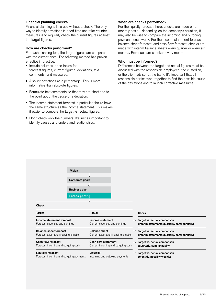### **Financial planning checks**

Financial planning is little use without a check. The only way to identify deviations in good time and take countermeasures is to regularly check the current figures against the target figures.

#### **How are checks performed?**

For each planning tool, the target figures are compared with the current ones. The following method has proven effective in practice:

- Include columns in the tables for: forecast figures, current figures, deviations, text comments, and measures.
- Also list deviations as a percentage! This is more informative than absolute figures.
- Formulate text comments so that they are short and to the point about the cause of a deviation.
- The income statement forecast in particular should have the same structure as the income statement. This makes it easier to compare the target vs. actual figures.
- Don't check only the numbers! It's just as important to identify causes and understand relationships.

#### **When are checks performed?**

For the liquidity forecast: here, checks are made on a monthly basis – depending on the company's situation, it may also be wise to compare the incoming and outgoing payments each week. For the income statement forecast, balance sheet forecast, and cash flow forecast, checks are made with interim balance sheets every quarter or every six months. Revenues are checked every month.

#### **Who must be informed?**

Differences between the target and actual figures must be discussed with the responsible employees, the custodian, or the client advisor at the bank. It's important that all responsible parties work together to find the possible cause of the deviations and to launch corrective measures.

| <b>Vision</b><br>Corporate goals<br><b>Business plan</b> | ◡                                     |               |                                               |  |  |
|----------------------------------------------------------|---------------------------------------|---------------|-----------------------------------------------|--|--|
| Financial planning<br><b>Check</b>                       |                                       |               |                                               |  |  |
| Target                                                   | Actual                                |               | Check                                         |  |  |
| Income statement forecast                                | Income statement                      |               | $\rightarrow$ Target vs. actual comparison    |  |  |
| Forecast expenses and earnings                           | Current expenses and earnings         |               | (interim statements quarterly, semi-annually) |  |  |
| <b>Balance sheet forecast</b>                            | <b>Balance sheet</b>                  | $\rightarrow$ | Target vs. actual comparison                  |  |  |
| Forecast asset and financing situation                   | Current asset and financing situation |               | (interim statements quarterly, semi-annually) |  |  |
| Cash flow forecast                                       | Cash flow statement                   |               | $\rightarrow$ Target vs. actual comparison    |  |  |
| Forecast incoming and outgoing cash                      | Current incoming and outgoing cash    |               | (quarterly, semi-annually)                    |  |  |
| <b>Liquidity forecast</b>                                | Liquidity                             |               | $\rightarrow$ Target vs. actual comparison    |  |  |
| Forecast incoming and outgoing payments                  | Incoming and outgoing payments        |               | (monthly, possibly weekly)                    |  |  |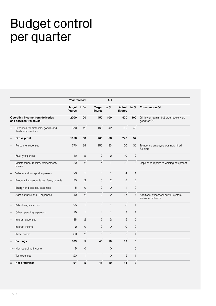# <span id="page-9-0"></span>Budget control per quarter

|                                                             |                                                            | Year forecast          |                |                        | Q <sub>1</sub> |                           |                |                                                          |
|-------------------------------------------------------------|------------------------------------------------------------|------------------------|----------------|------------------------|----------------|---------------------------|----------------|----------------------------------------------------------|
|                                                             |                                                            | Target in %<br>figures |                | Target in %<br>figures |                | Actual<br>figures         | in $%$         | Comment on Q1                                            |
| Operating income from deliveries<br>and services (revenues) |                                                            | 2000                   | 100            | 450                    | 100            | 420                       | 100            | Q1 fewer repairs, but order books very<br>good for Q2    |
|                                                             | Expenses for materials, goods, and<br>third-party services | 850                    | 42             | 190                    | 42             | 180                       | 43             |                                                          |
| =                                                           | <b>Gross profit</b>                                        | 1150                   | 58             | 260                    | 58             | 240                       | 57             |                                                          |
|                                                             | Personnel expenses                                         | 770                    | 39             | 150                    | 33             | 150                       | 36             | Temporary employee was now hired<br>full-time            |
|                                                             | Facility expenses                                          | 40                     | $\mathbf{2}$   | 10                     | $\overline{2}$ | 10                        | $\mathbf{2}$   |                                                          |
|                                                             | Maintenance, repairs, replacement,<br>leases               | 30                     | $\mathbf{2}$   | $\,6$                  | $\mathbf{1}$   | 12                        | 3              | Unplanned repairs to welding equipment                   |
|                                                             | Vehicle and transport expenses                             | 20                     | $\mathbf{1}$   | $\overline{5}$         | $\mathbf{1}$   | $\overline{4}$            | $\mathbf{1}$   |                                                          |
| -                                                           | Property insurance, taxes, fees, permits                   | 30                     | $\mathbf{2}$   | 8                      | $\mathbf{2}$   | $\,8\,$                   | $\mathbf{2}$   |                                                          |
|                                                             | Energy and disposal expenses                               | 5                      | $\mathbf 0$    | $\mathbf{2}$           | $\mathbf 0$    | $\mathbf{1}$              | $\mathbf 0$    |                                                          |
|                                                             | Administrative and IT expenses                             | 40                     | $\overline{2}$ | 10                     | $\mathbf{2}$   | 15                        | $\overline{4}$ | Additional expenses; new IT system:<br>software problems |
|                                                             | Advertising expenses                                       | 25                     | $\mathbf{1}$   | 5                      | $\mathbf{1}$   | $\ensuremath{\mathsf{3}}$ | $\mathbf{1}$   |                                                          |
|                                                             | Other operating expenses                                   | 15                     | $\mathbf{1}$   | $\overline{4}$         | $\mathbf{1}$   | 3                         | $\mathbf{1}$   |                                                          |
|                                                             | Interest expenses                                          | 38                     | $\mathbf{2}$   | 9                      | $\mathbf{2}$   | 9                         | $\overline{2}$ |                                                          |
| $^{+}$                                                      | Interest income                                            | $\overline{2}$         | $\mathbf 0$    | $\overline{0}$         | $\overline{0}$ | $\circ$                   | $\circ$        |                                                          |
|                                                             | Write-downs                                                | 30                     | $\overline{2}$ | 6                      | $\mathbf{1}$   | 6                         | $\mathbf{1}$   |                                                          |
| Ξ                                                           | Earnings                                                   | 109                    | 5              | 45                     | 10             | 19                        | 5              |                                                          |
|                                                             | +/- Non-operating income                                   | 5                      | $\overline{O}$ |                        | $\overline{0}$ |                           | $\overline{O}$ |                                                          |
|                                                             | Tax expenses                                               | 20                     | $\mathbf{1}$   |                        | $\mathbf 0$    | 5                         | $\mathbf{1}$   |                                                          |
| $=$                                                         | Net profit/loss                                            | 94                     | 5              | 45                     | 10             | 14                        | 3              |                                                          |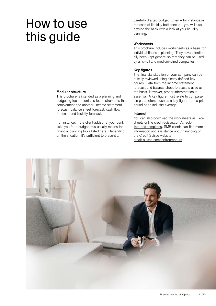# How to use this guide

carefully drafted budget. Often – for instance in the case of liquidity bottlenecks – you will also provide the bank with a look at your liquidity planning.

### **Worksheets**

This brochure includes worksheets as a basis for individual financial planning. They have intentionally been kept general so that they can be used by all small and medium-sized companies.

# **Key figures**

The financial situation of your company can be quickly reviewed using clearly defined key figures. Data from the income statement forecast and balance sheet forecast is used as the basis. However, proper interpretation is essential. A key figure must relate to comparable parameters, such as a key figure from a prior period or an industry average.

### **Internet**

You can also download the worksheets as Excel sheets online [credit-suisse.com/check](https://www.credit-suisse.com/microsites/business-easy/en/checklisten-und-vorlagen.html)[lists-and-templates](https://www.credit-suisse.com/microsites/business-easy/en/checklisten-und-vorlagen.html). SME clients can find more information and assistance about financing on the Credit Suisse website. [credit-suisse.com/entrepreneurs](https://www.credit-suisse.com/ch/en/unternehmen/unternehmen-unternehmer/kmugrossunternehmen.html)



# **Modular structure**

This brochure is intended as a planning and budgeting tool. It contains four instruments that complement one another: income statement forecast, balance sheet forecast, cash flow forecast, and liquidity forecast.

For instance, if the client advisor at your bank asks you for a budget, this usually means the financial planning tools listed here. Depending on the situation, it's sufficient to present a